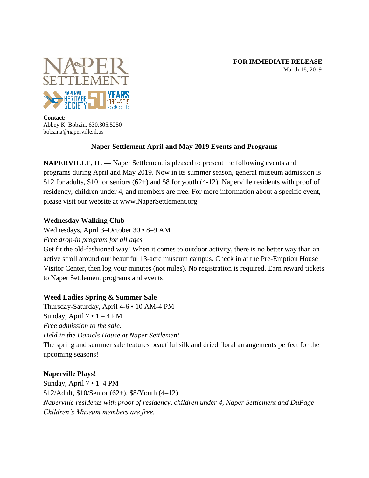#### **FOR IMMEDIATE RELEASE** March 18, 2019



**Contact:** Abbey K. Bobzin, 630.305.5250 bobzina@naperville.il.us

# **Naper Settlement April and May 2019 Events and Programs**

**NAPERVILLE, IL —** Naper Settlement is pleased to present the following events and programs during April and May 2019. Now in its summer season, general museum admission is \$12 for adults, \$10 for seniors (62+) and \$8 for youth (4-12). Naperville residents with proof of residency, children under 4, and members are free. For more information about a specific event, please visit our website at www.NaperSettlement.org.

## **Wednesday Walking Club**

Wednesdays, April 3–October 30 • 8–9 AM

*Free drop-in program for all ages*

Get fit the old-fashioned way! When it comes to outdoor activity, there is no better way than an active stroll around our beautiful 13-acre museum campus. Check in at the Pre-Emption House Visitor Center, then log your minutes (not miles). No registration is required. Earn reward tickets to Naper Settlement programs and events!

# **Weed Ladies Spring & Summer Sale**

Thursday-Saturday, April 4-6 • 10 AM-4 PM Sunday, April  $7 \cdot 1 - 4$  PM *Free admission to the sale. Held in the Daniels House at Naper Settlement* The spring and summer sale features beautiful silk and dried floral arrangements perfect for the upcoming seasons!

# **Naperville Plays!**

Sunday, April 7 • 1–4 PM \$12/Adult, \$10/Senior (62+), \$8/Youth (4–12) *Naperville residents with proof of residency, children under 4, Naper Settlement and DuPage Children's Museum members are free.*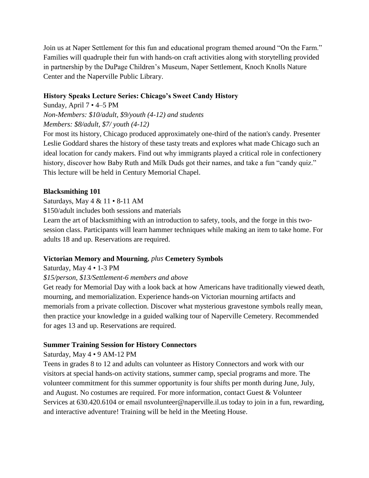Join us at Naper Settlement for this fun and educational program themed around "On the Farm." Families will quadruple their fun with hands-on craft activities along with storytelling provided in partnership by the DuPage Children's Museum, Naper Settlement, Knoch Knolls Nature Center and the Naperville Public Library.

## **History Speaks Lecture Series: Chicago's Sweet Candy History**

Sunday, April 7 • 4–5 PM *Non-Members: \$10/adult, \$9/youth (4-12) and students Members: \$8/adult, \$7/ youth (4-12)*

For most its history, Chicago produced approximately one-third of the nation's candy. Presenter Leslie Goddard shares the history of these tasty treats and explores what made Chicago such an ideal location for candy makers. Find out why immigrants played a critical role in confectionery history, discover how Baby Ruth and Milk Duds got their names, and take a fun "candy quiz." This lecture will be held in Century Memorial Chapel.

## **Blacksmithing 101**

Saturdays, May 4 & 11 • 8-11 AM

\$150/adult includes both sessions and materials

Learn the art of blacksmithing with an introduction to safety, tools, and the forge in this twosession class. Participants will learn hammer techniques while making an item to take home. For adults 18 and up. Reservations are required.

# **Victorian Memory and Mourning**, *plus* **Cemetery Symbols**

## Saturday, May 4 • 1-3 PM

## *\$15/person, \$13/Settlement-6 members and above*

Get ready for Memorial Day with a look back at how Americans have traditionally viewed death, mourning, and memorialization. Experience hands-on Victorian mourning artifacts and memorials from a private collection. Discover what mysterious gravestone symbols really mean, then practice your knowledge in a guided walking tour of Naperville Cemetery. Recommended for ages 13 and up. Reservations are required.

# **Summer Training Session for History Connectors**

Saturday, May 4 • 9 AM-12 PM

Teens in grades 8 to 12 and adults can volunteer as History Connectors and work with our visitors at special hands-on activity stations, summer camp, special programs and more. The volunteer commitment for this summer opportunity is four shifts per month during June, July, and August. No costumes are required. For more information, contact Guest & Volunteer Services at 630.420.6104 or email nsvolunteer@naperville.il.us today to join in a fun, rewarding, and interactive adventure! Training will be held in the Meeting House.